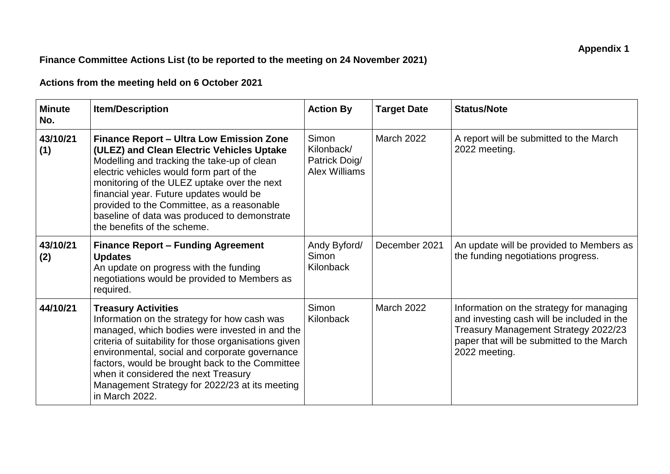## **Finance Committee Actions List (to be reported to the meeting on 24 November 2021)**

## **Actions from the meeting held on 6 October 2021**

| <b>Minute</b><br>No. | <b>Item/Description</b>                                                                                                                                                                                                                                                                                                                                                                                        | <b>Action By</b>                                             | <b>Target Date</b> | <b>Status/Note</b>                                                                                                                                                                           |
|----------------------|----------------------------------------------------------------------------------------------------------------------------------------------------------------------------------------------------------------------------------------------------------------------------------------------------------------------------------------------------------------------------------------------------------------|--------------------------------------------------------------|--------------------|----------------------------------------------------------------------------------------------------------------------------------------------------------------------------------------------|
| 43/10/21<br>(1)      | <b>Finance Report - Ultra Low Emission Zone</b><br>(ULEZ) and Clean Electric Vehicles Uptake<br>Modelling and tracking the take-up of clean<br>electric vehicles would form part of the<br>monitoring of the ULEZ uptake over the next<br>financial year. Future updates would be<br>provided to the Committee, as a reasonable<br>baseline of data was produced to demonstrate<br>the benefits of the scheme. | Simon<br>Kilonback/<br>Patrick Doig/<br><b>Alex Williams</b> | <b>March 2022</b>  | A report will be submitted to the March<br>2022 meeting.                                                                                                                                     |
| 43/10/21<br>(2)      | <b>Finance Report - Funding Agreement</b><br><b>Updates</b><br>An update on progress with the funding<br>negotiations would be provided to Members as<br>required.                                                                                                                                                                                                                                             | Andy Byford/<br>Simon<br>Kilonback                           | December 2021      | An update will be provided to Members as<br>the funding negotiations progress.                                                                                                               |
| 44/10/21             | <b>Treasury Activities</b><br>Information on the strategy for how cash was<br>managed, which bodies were invested in and the<br>criteria of suitability for those organisations given<br>environmental, social and corporate governance<br>factors, would be brought back to the Committee<br>when it considered the next Treasury<br>Management Strategy for 2022/23 at its meeting<br>in March 2022.         | Simon<br>Kilonback                                           | <b>March 2022</b>  | Information on the strategy for managing<br>and investing cash will be included in the<br>Treasury Management Strategy 2022/23<br>paper that will be submitted to the March<br>2022 meeting. |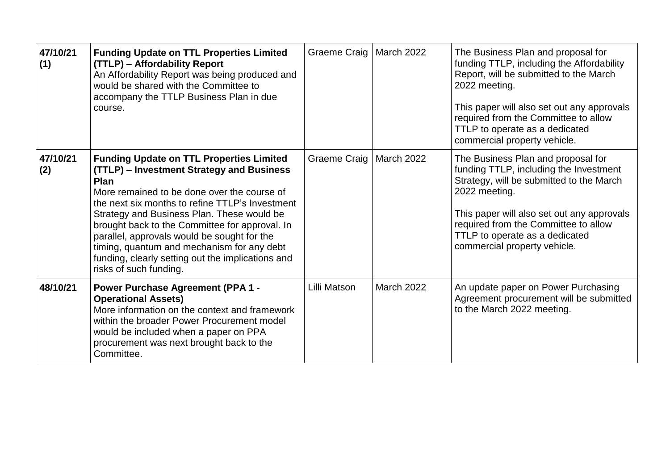| 47/10/21<br>(1) | <b>Funding Update on TTL Properties Limited</b><br>(TTLP) - Affordability Report<br>An Affordability Report was being produced and<br>would be shared with the Committee to<br>accompany the TTLP Business Plan in due<br>course.                                                                                                                                                                                                                                                  | Graeme Craig   March 2022 |                   | The Business Plan and proposal for<br>funding TTLP, including the Affordability<br>Report, will be submitted to the March<br>2022 meeting.<br>This paper will also set out any approvals<br>required from the Committee to allow<br>TTLP to operate as a dedicated<br>commercial property vehicle. |
|-----------------|------------------------------------------------------------------------------------------------------------------------------------------------------------------------------------------------------------------------------------------------------------------------------------------------------------------------------------------------------------------------------------------------------------------------------------------------------------------------------------|---------------------------|-------------------|----------------------------------------------------------------------------------------------------------------------------------------------------------------------------------------------------------------------------------------------------------------------------------------------------|
| 47/10/21<br>(2) | <b>Funding Update on TTL Properties Limited</b><br>(TTLP) - Investment Strategy and Business<br>Plan<br>More remained to be done over the course of<br>the next six months to refine TTLP's Investment<br>Strategy and Business Plan. These would be<br>brought back to the Committee for approval. In<br>parallel, approvals would be sought for the<br>timing, quantum and mechanism for any debt<br>funding, clearly setting out the implications and<br>risks of such funding. | Graeme Craig   March 2022 |                   | The Business Plan and proposal for<br>funding TTLP, including the Investment<br>Strategy, will be submitted to the March<br>2022 meeting.<br>This paper will also set out any approvals<br>required from the Committee to allow<br>TTLP to operate as a dedicated<br>commercial property vehicle.  |
| 48/10/21        | <b>Power Purchase Agreement (PPA 1 -</b><br><b>Operational Assets)</b><br>More information on the context and framework<br>within the broader Power Procurement model<br>would be included when a paper on PPA<br>procurement was next brought back to the<br>Committee.                                                                                                                                                                                                           | Lilli Matson              | <b>March 2022</b> | An update paper on Power Purchasing<br>Agreement procurement will be submitted<br>to the March 2022 meeting.                                                                                                                                                                                       |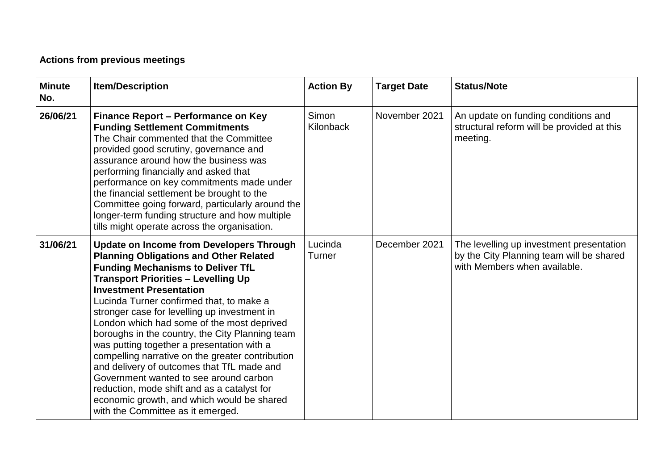## **Actions from previous meetings**

| <b>Minute</b><br>No. | <b>Item/Description</b>                                                                                                                                                                                                                                                                                                                                                                                                                                                                                                                                                                                                                                                                                                                               | <b>Action By</b>   | <b>Target Date</b> | <b>Status/Note</b>                                                                                                   |
|----------------------|-------------------------------------------------------------------------------------------------------------------------------------------------------------------------------------------------------------------------------------------------------------------------------------------------------------------------------------------------------------------------------------------------------------------------------------------------------------------------------------------------------------------------------------------------------------------------------------------------------------------------------------------------------------------------------------------------------------------------------------------------------|--------------------|--------------------|----------------------------------------------------------------------------------------------------------------------|
| 26/06/21             | Finance Report - Performance on Key<br><b>Funding Settlement Commitments</b><br>The Chair commented that the Committee<br>provided good scrutiny, governance and<br>assurance around how the business was<br>performing financially and asked that<br>performance on key commitments made under<br>the financial settlement be brought to the<br>Committee going forward, particularly around the<br>longer-term funding structure and how multiple<br>tills might operate across the organisation.                                                                                                                                                                                                                                                   | Simon<br>Kilonback | November 2021      | An update on funding conditions and<br>structural reform will be provided at this<br>meeting.                        |
| 31/06/21             | <b>Update on Income from Developers Through</b><br><b>Planning Obligations and Other Related</b><br><b>Funding Mechanisms to Deliver TfL</b><br><b>Transport Priorities - Levelling Up</b><br><b>Investment Presentation</b><br>Lucinda Turner confirmed that, to make a<br>stronger case for levelling up investment in<br>London which had some of the most deprived<br>boroughs in the country, the City Planning team<br>was putting together a presentation with a<br>compelling narrative on the greater contribution<br>and delivery of outcomes that TfL made and<br>Government wanted to see around carbon<br>reduction, mode shift and as a catalyst for<br>economic growth, and which would be shared<br>with the Committee as it emerged. | Lucinda<br>Turner  | December 2021      | The levelling up investment presentation<br>by the City Planning team will be shared<br>with Members when available. |